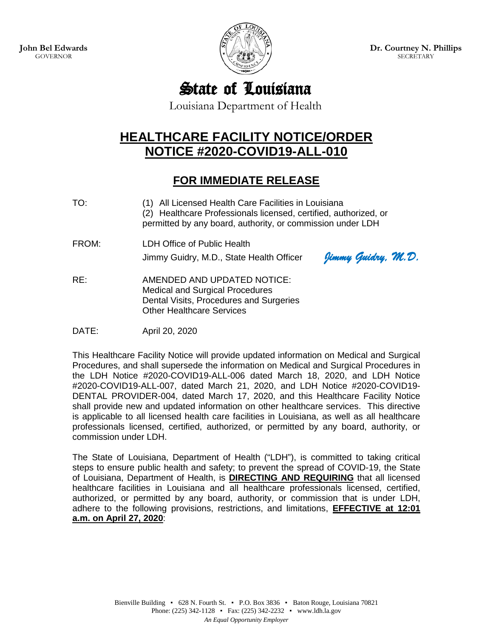

**Dr. Courtney N. Phillips SECRETARY** 

# State of Louisiana

Louisiana Department of Health

# **HEALTHCARE FACILITY NOTICE/ORDER NOTICE #2020-COVID19-ALL-010**

## **FOR IMMEDIATE RELEASE**

- TO: (1) All Licensed Health Care Facilities in Louisiana (2) Healthcare Professionals licensed, certified, authorized, or permitted by any board, authority, or commission under LDH
- FROM: LDH Office of Public Health

Jimmy Guidry, M.D., State Health Officer *Jimmy Guidry, M.D.*

RE: AMENDED AND UPDATED NOTICE: Medical and Surgical Procedures Dental Visits, Procedures and Surgeries Other Healthcare Services

DATE: April 20, 2020

This Healthcare Facility Notice will provide updated information on Medical and Surgical Procedures, and shall supersede the information on Medical and Surgical Procedures in the LDH Notice #2020-COVID19-ALL-006 dated March 18, 2020, and LDH Notice #2020-COVID19-ALL-007, dated March 21, 2020, and LDH Notice #2020-COVID19- DENTAL PROVIDER-004, dated March 17, 2020, and this Healthcare Facility Notice shall provide new and updated information on other healthcare services. This directive is applicable to all licensed health care facilities in Louisiana, as well as all healthcare professionals licensed, certified, authorized, or permitted by any board, authority, or commission under LDH.

The State of Louisiana, Department of Health ("LDH"), is committed to taking critical steps to ensure public health and safety; to prevent the spread of COVID-19, the State of Louisiana, Department of Health, is **DIRECTING AND REQUIRING** that all licensed healthcare facilities in Louisiana and all healthcare professionals licensed, certified, authorized, or permitted by any board, authority, or commission that is under LDH, adhere to the following provisions, restrictions, and limitations, **EFFECTIVE at 12:01 a.m. on April 27, 2020**: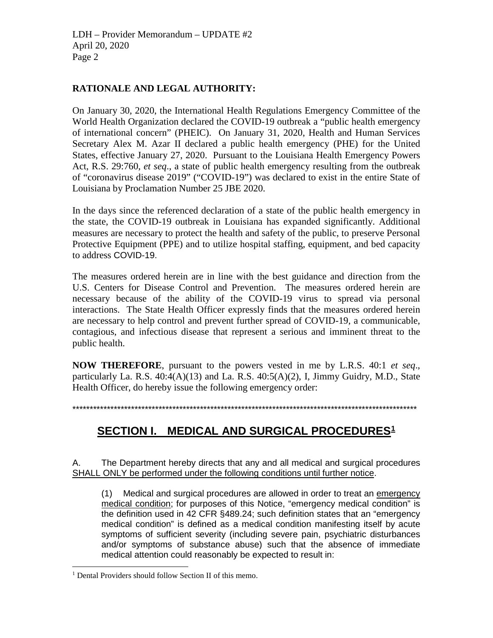#### **RATIONALE AND LEGAL AUTHORITY:**

On January 30, 2020, the International Health Regulations Emergency Committee of the World Health Organization declared the COVID-19 outbreak a "public health emergency of international concern" (PHEIC). On January 31, 2020, Health and Human Services Secretary Alex M. Azar II declared a public health emergency (PHE) for the United States, effective January 27, 2020. Pursuant to the Louisiana Health Emergency Powers Act, R.S. 29:760, *et seq*., a state of public health emergency resulting from the outbreak of "coronavirus disease 2019" ("COVID-19") was declared to exist in the entire State of Louisiana by Proclamation Number 25 JBE 2020.

In the days since the referenced declaration of a state of the public health emergency in the state, the COVID-19 outbreak in Louisiana has expanded significantly. Additional measures are necessary to protect the health and safety of the public, to preserve Personal Protective Equipment (PPE) and to utilize hospital staffing, equipment, and bed capacity to address COVID-19.

The measures ordered herein are in line with the best guidance and direction from the U.S. Centers for Disease Control and Prevention. The measures ordered herein are necessary because of the ability of the COVID-19 virus to spread via personal interactions. The State Health Officer expressly finds that the measures ordered herein are necessary to help control and prevent further spread of COVID-19, a communicable, contagious, and infectious disease that represent a serious and imminent threat to the public health.

**NOW THEREFORE**, pursuant to the powers vested in me by L.R.S. 40:1 *et seq*., particularly La. R.S.  $40:4(A)(13)$  and La. R.S.  $40:5(A)(2)$ , I, Jimmy Guidry, M.D., State Health Officer, do hereby issue the following emergency order:

\*\*\*\*\*\*\*\*\*\*\*\*\*\*\*\*\*\*\*\*\*\*\*\*\*\*\*\*\*\*\*\*\*\*\*\*\*\*\*\*\*\*\*\*\*\*\*\*\*\*\*\*\*\*\*\*\*\*\*\*\*\*\*\*\*\*\*\*\*\*\*\*\*\*\*\*\*\*\*\*\*\*\*\*\*\*\*\*\*\*\*\*\*\*\*\*\*\*\*\*

### **SECTION I. MEDICAL AND SURGICAL PROCEDURES[1](#page-1-0)**

A. The Department hereby directs that any and all medical and surgical procedures SHALL ONLY be performed under the following conditions until further notice.

(1) Medical and surgical procedures are allowed in order to treat an emergency medical condition; for purposes of this Notice, "emergency medical condition" is the definition used in 42 CFR §489.24; such definition states that an "emergency medical condition" is defined as a medical condition manifesting itself by acute symptoms of sufficient severity (including severe pain, psychiatric disturbances and/or symptoms of substance abuse) such that the absence of immediate medical attention could reasonably be expected to result in:

<span id="page-1-0"></span><sup>&</sup>lt;sup>1</sup> Dental Providers should follow Section II of this memo.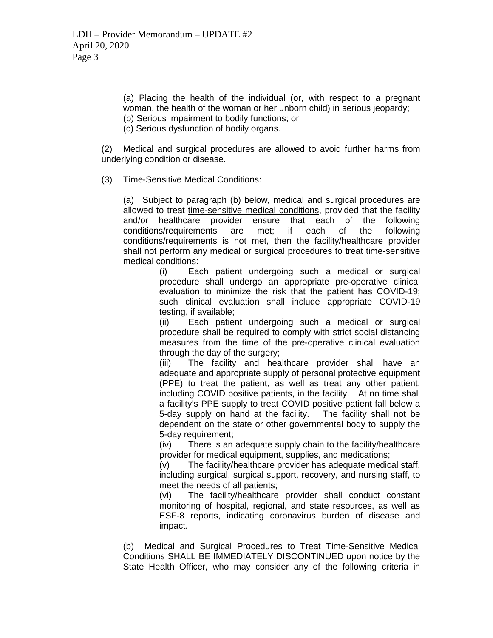(a) Placing the health of the individual (or, with respect to a pregnant woman, the health of the woman or her unborn child) in serious jeopardy; (b) Serious impairment to bodily functions; or

(c) Serious dysfunction of bodily organs.

(2) Medical and surgical procedures are allowed to avoid further harms from underlying condition or disease.

(3) Time-Sensitive Medical Conditions:

(a) Subject to paragraph (b) below, medical and surgical procedures are allowed to treat time-sensitive medical conditions, provided that the facility and/or healthcare provider ensure that each of the following conditions/requirements are met; if each of the following conditions/requirements is not met, then the facility/healthcare provider shall not perform any medical or surgical procedures to treat time-sensitive medical conditions:

> (i) Each patient undergoing such a medical or surgical procedure shall undergo an appropriate pre-operative clinical evaluation to minimize the risk that the patient has COVID-19; such clinical evaluation shall include appropriate COVID-19 testing, if available;

> (ii) Each patient undergoing such a medical or surgical procedure shall be required to comply with strict social distancing measures from the time of the pre-operative clinical evaluation through the day of the surgery;

> (iii) The facility and healthcare provider shall have an adequate and appropriate supply of personal protective equipment (PPE) to treat the patient, as well as treat any other patient, including COVID positive patients, in the facility. At no time shall a facility's PPE supply to treat COVID positive patient fall below a 5-day supply on hand at the facility. The facility shall not be dependent on the state or other governmental body to supply the 5-day requirement;

> (iv) There is an adequate supply chain to the facility/healthcare provider for medical equipment, supplies, and medications;

> (v) The facility/healthcare provider has adequate medical staff, including surgical, surgical support, recovery, and nursing staff, to meet the needs of all patients;

> (vi) The facility/healthcare provider shall conduct constant monitoring of hospital, regional, and state resources, as well as ESF-8 reports, indicating coronavirus burden of disease and impact.

(b) Medical and Surgical Procedures to Treat Time-Sensitive Medical Conditions SHALL BE IMMEDIATELY DISCONTINUED upon notice by the State Health Officer, who may consider any of the following criteria in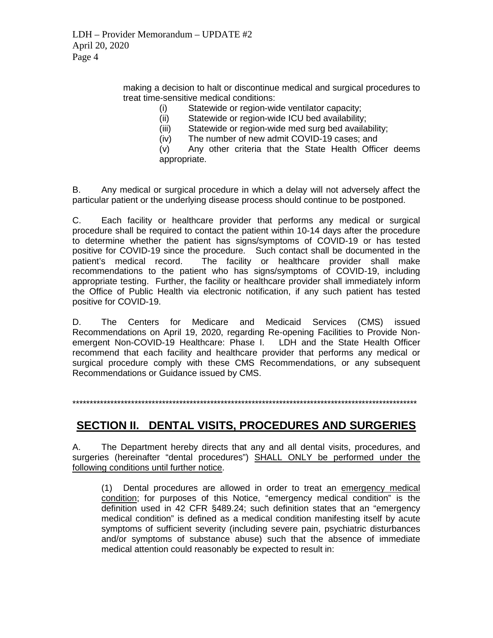making a decision to halt or discontinue medical and surgical procedures to treat time-sensitive medical conditions:

> Statewide or region-wide ventilator capacity;  $(i)$

Statewide or region-wide ICU bed availability;  $(ii)$ 

Statewide or region-wide med surg bed availability;  $(iii)$ 

 $(iv)$ The number of new admit COVID-19 cases; and

Any other criteria that the State Health Officer deems  $(v)$ appropriate.

Any medical or surgical procedure in which a delay will not adversely affect the В. particular patient or the underlying disease process should continue to be postponed.

C. Each facility or healthcare provider that performs any medical or surgical procedure shall be required to contact the patient within 10-14 days after the procedure to determine whether the patient has signs/symptoms of COVID-19 or has tested positive for COVID-19 since the procedure. Such contact shall be documented in the patient's medical record. The facility or healthcare provider shall make recommendations to the patient who has signs/symptoms of COVID-19, including appropriate testing. Further, the facility or healthcare provider shall immediately inform the Office of Public Health via electronic notification, if any such patient has tested positive for COVID-19.

The Centers for Medicare and Medicaid Services (CMS) issued D. Recommendations on April 19, 2020, regarding Re-opening Facilities to Provide Nonemergent Non-COVID-19 Healthcare: Phase I. LDH and the State Health Officer recommend that each facility and healthcare provider that performs any medical or surgical procedure comply with these CMS Recommendations, or any subsequent Recommendations or Guidance issued by CMS.

#### SECTION II. DENTAL VISITS, PROCEDURES AND SURGERIES

А. The Department hereby directs that any and all dental visits, procedures, and surgeries (hereinafter "dental procedures") SHALL ONLY be performed under the following conditions until further notice.

(1) Dental procedures are allowed in order to treat an emergency medical condition; for purposes of this Notice, "emergency medical condition" is the definition used in 42 CFR §489.24; such definition states that an "emergency medical condition" is defined as a medical condition manifesting itself by acute symptoms of sufficient severity (including severe pain, psychiatric disturbances and/or symptoms of substance abuse) such that the absence of immediate medical attention could reasonably be expected to result in: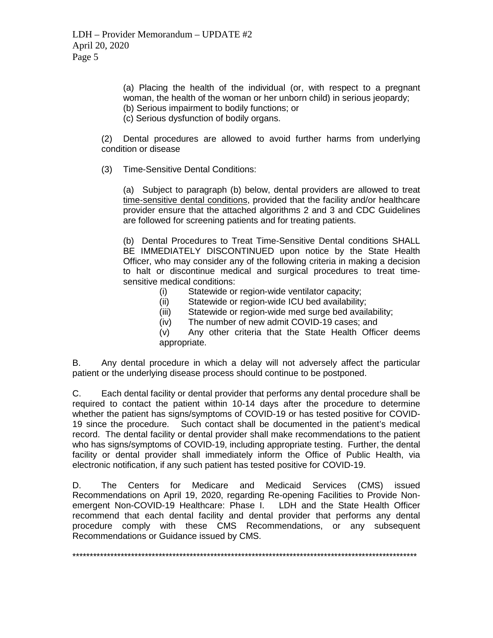(a) Placing the health of the individual (or, with respect to a pregnant woman, the health of the woman or her unborn child) in serious jeopardy;

(b) Serious impairment to bodily functions; or

(c) Serious dysfunction of bodily organs.

(2) Dental procedures are allowed to avoid further harms from underlying condition or disease

(3) Time-Sensitive Dental Conditions:

(a) Subject to paragraph (b) below, dental providers are allowed to treat time-sensitive dental conditions, provided that the facility and/or healthcare provider ensure that the attached algorithms 2 and 3 and CDC Guidelines are followed for screening patients and for treating patients.

(b) Dental Procedures to Treat Time-Sensitive Dental conditions SHALL BE IMMEDIATELY DISCONTINUED upon notice by the State Health Officer, who may consider any of the following criteria in making a decision to halt or discontinue medical and surgical procedures to treat timesensitive medical conditions:

- (i) Statewide or region-wide ventilator capacity;
- (ii) Statewide or region-wide ICU bed availability;
- (iii) Statewide or region-wide med surge bed availability;
- (iv) The number of new admit COVID-19 cases; and

(v) Any other criteria that the State Health Officer deems appropriate.

B. Any dental procedure in which a delay will not adversely affect the particular patient or the underlying disease process should continue to be postponed.

C. Each dental facility or dental provider that performs any dental procedure shall be required to contact the patient within 10-14 days after the procedure to determine whether the patient has signs/symptoms of COVID-19 or has tested positive for COVID-19 since the procedure. Such contact shall be documented in the patient's medical record. The dental facility or dental provider shall make recommendations to the patient who has signs/symptoms of COVID-19, including appropriate testing. Further, the dental facility or dental provider shall immediately inform the Office of Public Health, via electronic notification, if any such patient has tested positive for COVID-19.

D. The Centers for Medicare and Medicaid Services (CMS) issued Recommendations on April 19, 2020, regarding Re-opening Facilities to Provide Nonemergent Non-COVID-19 Healthcare: Phase I. LDH and the State Health Officer recommend that each dental facility and dental provider that performs any dental procedure comply with these CMS Recommendations, or any subsequent Recommendations or Guidance issued by CMS.

\*\*\*\*\*\*\*\*\*\*\*\*\*\*\*\*\*\*\*\*\*\*\*\*\*\*\*\*\*\*\*\*\*\*\*\*\*\*\*\*\*\*\*\*\*\*\*\*\*\*\*\*\*\*\*\*\*\*\*\*\*\*\*\*\*\*\*\*\*\*\*\*\*\*\*\*\*\*\*\*\*\*\*\*\*\*\*\*\*\*\*\*\*\*\*\*\*\*\*\*